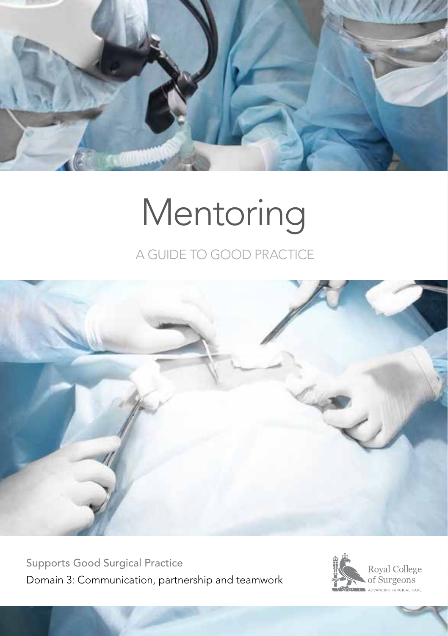

# Mentoring

### A GUIDE TO GOOD PRACTICE



Supports Good Surgical Practice Domain 3: Communication, partnership and teamwork

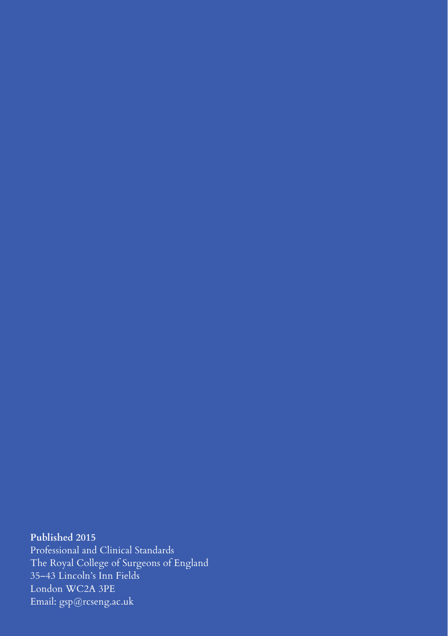### **Published 2015**

Professional and Clinical Standards The Royal College of Surgeons of England 35–43 Lincoln's Inn Fields London WC2A 3PE Email: gsp@rcseng.ac.uk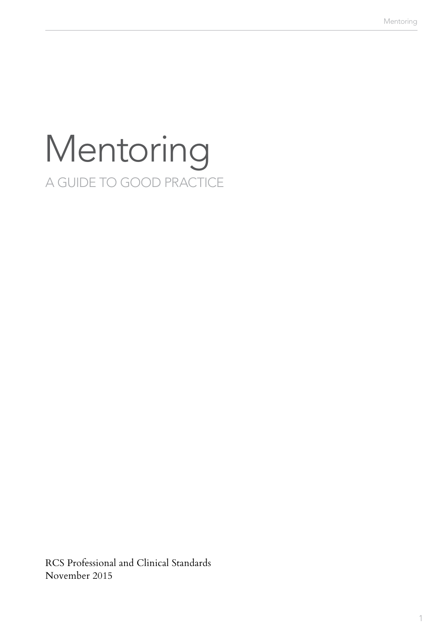## Mentoring A GUIDE TO GOOD PRACTICE

RCS Professional and Clinical Standards November 2015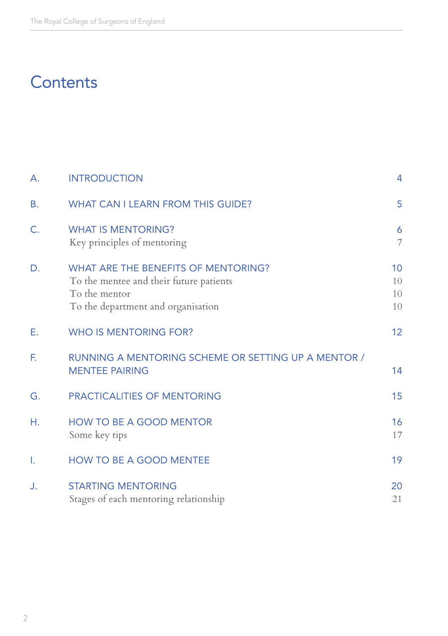### **Contents**

| А. | <b>INTRODUCTION</b>                                                                                                                          | $\overline{4}$                |
|----|----------------------------------------------------------------------------------------------------------------------------------------------|-------------------------------|
| В. | <b>WHAT CAN I LEARN FROM THIS GUIDE?</b>                                                                                                     | 5                             |
| Ċ. | <b>WHAT IS MENTORING?</b><br>Key principles of mentoring                                                                                     | 6<br>$\overline{\mathcal{I}}$ |
| D. | <b>WHAT ARE THE BENEFITS OF MENTORING?</b><br>To the mentee and their future patients<br>To the mentor<br>To the department and organisation | 10<br>10<br>10<br>10          |
| Е. | <b>WHO IS MENTORING FOR?</b>                                                                                                                 | 12                            |
| F. | RUNNING A MENTORING SCHEME OR SETTING UP A MENTOR /<br><b>MENTEE PAIRING</b>                                                                 | 14                            |
| G. | <b>PRACTICALITIES OF MENTORING</b>                                                                                                           | 15                            |
| Η. | <b>HOW TO BE A GOOD MENTOR</b><br>Some key tips                                                                                              | 16<br>17                      |
| ۱. | <b>HOW TO BE A GOOD MENTEE</b>                                                                                                               | 19                            |
| J. | <b>STARTING MENTORING</b><br>Stages of each mentoring relationship                                                                           | 20<br>21                      |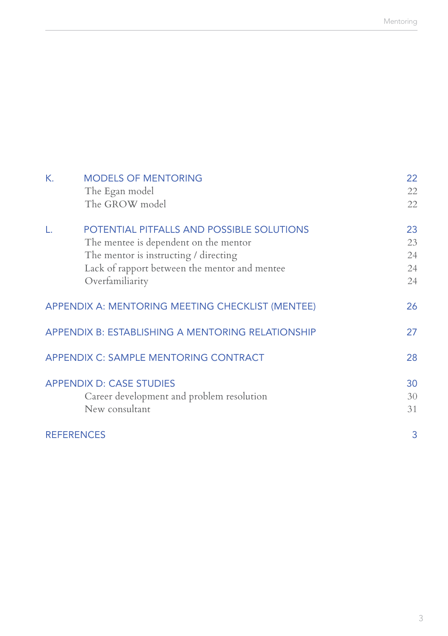| К. | <b>MODELS OF MENTORING</b>                        | 22 |
|----|---------------------------------------------------|----|
|    | The Egan model                                    | 22 |
|    | The GROW model                                    | 22 |
| L. | POTENTIAL PITFALLS AND POSSIBLE SOLUTIONS         | 23 |
|    | The mentee is dependent on the mentor             | 23 |
|    | The mentor is instructing / directing             | 24 |
|    | Lack of rapport between the mentor and mentee     | 24 |
|    | Overfamiliarity                                   | 24 |
|    | APPENDIX A: MENTORING MEETING CHECKLIST (MENTEE)  | 26 |
|    | APPENDIX B: ESTABLISHING A MENTORING RELATIONSHIP | 27 |
|    | APPENDIX C: SAMPLE MENTORING CONTRACT             | 28 |
|    | <b>APPENDIX D: CASE STUDIES</b>                   | 30 |
|    | Career development and problem resolution         | 30 |
|    | New consultant                                    | 31 |
|    | <b>REFERENCES</b>                                 | 3  |
|    |                                                   |    |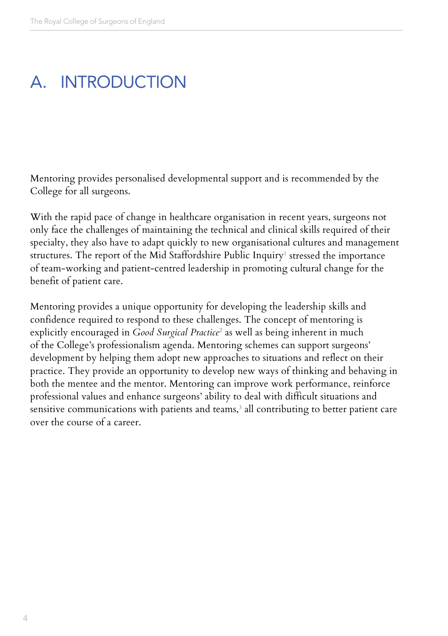### A. INTRODUCTION

Mentoring provides personalised developmental support and is recommended by the College for all surgeons.

With the rapid pace of change in healthcare organisation in recent years, surgeons not only face the challenges of maintaining the technical and clinical skills required of their specialty, they also have to adapt quickly to new organisational cultures and management structures. The report of the Mid Staffordshire Public Inquiry' stressed the importance of team-working and patient-centred leadership in promoting cultural change for the benefit of patient care.

Mentoring provides a unique opportunity for developing the leadership skills and confidence required to respond to these challenges. The concept of mentoring is explicitly encouraged in *Good Surgical Practice*<sup>2</sup> as well as being inherent in much of the College's professionalism agenda. Mentoring schemes can support surgeons' development by helping them adopt new approaches to situations and reflect on their practice. They provide an opportunity to develop new ways of thinking and behaving in both the mentee and the mentor. Mentoring can improve work performance, reinforce professional values and enhance surgeons' ability to deal with difficult situations and sensitive communications with patients and teams, $^3$  all contributing to better patient care over the course of a career.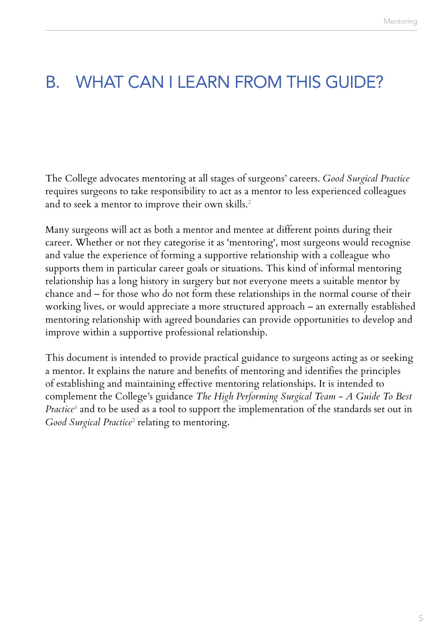### B. WHAT CAN I LEARN FROM THIS GUIDE?

The College advocates mentoring at all stages of surgeons' careers. *Good Surgical Practice* requires surgeons to take responsibility to act as a mentor to less experienced colleagues and to seek a mentor to improve their own skills.<sup>2</sup>

Many surgeons will act as both a mentor and mentee at different points during their career. Whether or not they categorise it as 'mentoring', most surgeons would recognise and value the experience of forming a supportive relationship with a colleague who supports them in particular career goals or situations. This kind of informal mentoring relationship has a long history in surgery but not everyone meets a suitable mentor by chance and – for those who do not form these relationships in the normal course of their working lives, or would appreciate a more structured approach – an externally established mentoring relationship with agreed boundaries can provide opportunities to develop and improve within a supportive professional relationship.

This document is intended to provide practical guidance to surgeons acting as or seeking a mentor. It explains the nature and benefits of mentoring and identifies the principles of establishing and maintaining effective mentoring relationships. It is intended to complement the College's guidance *The High Performing Surgical Team - A Guide To Best Practice*<sup>4</sup> and to be used as a tool to support the implementation of the standards set out in  $\emph{Good \emph{Surgical Practice}^2}$  relating to mentoring.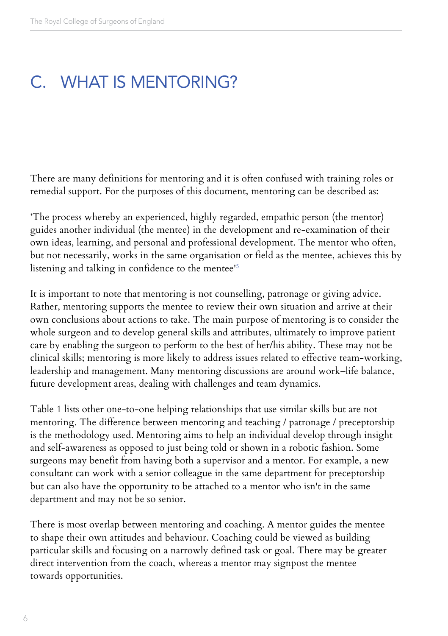### C. WHAT IS MENTORING?

There are many definitions for mentoring and it is often confused with training roles or remedial support. For the purposes of this document, mentoring can be described as:

'The process whereby an experienced, highly regarded, empathic person (the mentor) guides another individual (the mentee) in the development and re-examination of their own ideas, learning, and personal and professional development. The mentor who often, but not necessarily, works in the same organisation or field as the mentee, achieves this by listening and talking in confidence to the mentee'5

It is important to note that mentoring is not counselling, patronage or giving advice. Rather, mentoring supports the mentee to review their own situation and arrive at their own conclusions about actions to take. The main purpose of mentoring is to consider the whole surgeon and to develop general skills and attributes, ultimately to improve patient care by enabling the surgeon to perform to the best of her/his ability. These may not be clinical skills; mentoring is more likely to address issues related to effective team-working, leadership and management. Many mentoring discussions are around work–life balance, future development areas, dealing with challenges and team dynamics.

Table 1 lists other one-to-one helping relationships that use similar skills but are not mentoring. The difference between mentoring and teaching / patronage / preceptorship is the methodology used. Mentoring aims to help an individual develop through insight and self-awareness as opposed to just being told or shown in a robotic fashion. Some surgeons may benefit from having both a supervisor and a mentor. For example, a new consultant can work with a senior colleague in the same department for preceptorship but can also have the opportunity to be attached to a mentor who isn't in the same department and may not be so senior.

There is most overlap between mentoring and coaching. A mentor guides the mentee to shape their own attitudes and behaviour. Coaching could be viewed as building particular skills and focusing on a narrowly defined task or goal. There may be greater direct intervention from the coach, whereas a mentor may signpost the mentee towards opportunities.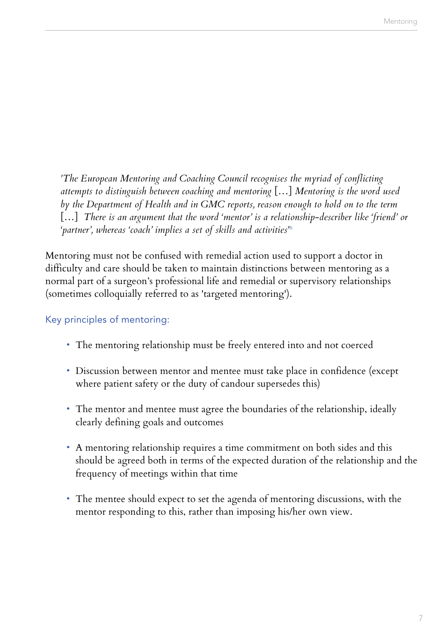*'The European Mentoring and Coaching Council recognises the myriad of conflicting attempts to distinguish between coaching and mentoring* […] *Mentoring is the word used by the Department of Health and in GMC reports, reason enough to hold on to the term*  […] *There is an argument that the word 'mentor' is a relationship-describer like 'friend' or 'partner', whereas 'coach' implies a set of skills and activities'*<sup>6</sup>

Mentoring must not be confused with remedial action used to support a doctor in difficulty and care should be taken to maintain distinctions between mentoring as a normal part of a surgeon's professional life and remedial or supervisory relationships (sometimes colloquially referred to as 'targeted mentoring').

#### Key principles of mentoring:

- The mentoring relationship must be freely entered into and not coerced
- Discussion between mentor and mentee must take place in confidence (except where patient safety or the duty of candour supersedes this)
- The mentor and mentee must agree the boundaries of the relationship, ideally clearly defining goals and outcomes
- A mentoring relationship requires a time commitment on both sides and this should be agreed both in terms of the expected duration of the relationship and the frequency of meetings within that time
- The mentee should expect to set the agenda of mentoring discussions, with the mentor responding to this, rather than imposing his/her own view.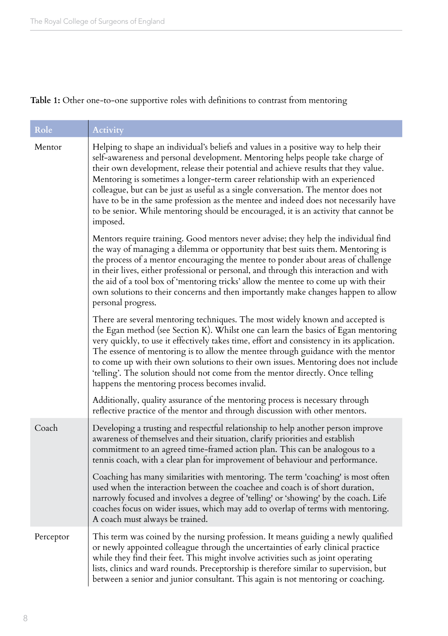#### **Table 1:** Other one-to-one supportive roles with definitions to contrast from mentoring

| Role      | Activity                                                                                                                                                                                                                                                                                                                                                                                                                                                                                                                                                                                                                       |
|-----------|--------------------------------------------------------------------------------------------------------------------------------------------------------------------------------------------------------------------------------------------------------------------------------------------------------------------------------------------------------------------------------------------------------------------------------------------------------------------------------------------------------------------------------------------------------------------------------------------------------------------------------|
| Mentor    | Helping to shape an individual's beliefs and values in a positive way to help their<br>self-awareness and personal development. Mentoring helps people take charge of<br>their own development, release their potential and achieve results that they value.<br>Mentoring is sometimes a longer-term career relationship with an experienced<br>colleague, but can be just as useful as a single conversation. The mentor does not<br>have to be in the same profession as the mentee and indeed does not necessarily have<br>to be senior. While mentoring should be encouraged, it is an activity that cannot be<br>imposed. |
|           | Mentors require training. Good mentors never advise; they help the individual find<br>the way of managing a dilemma or opportunity that best suits them. Mentoring is<br>the process of a mentor encouraging the mentee to ponder about areas of challenge<br>in their lives, either professional or personal, and through this interaction and with<br>the aid of a tool box of 'mentoring tricks' allow the mentee to come up with their<br>own solutions to their concerns and then importantly make changes happen to allow<br>personal progress.                                                                          |
|           | There are several mentoring techniques. The most widely known and accepted is<br>the Egan method (see Section K). Whilst one can learn the basics of Egan mentoring<br>very quickly, to use it effectively takes time, effort and consistency in its application.<br>The essence of mentoring is to allow the mentee through guidance with the mentor<br>to come up with their own solutions to their own issues. Mentoring does not include<br>'telling'. The solution should not come from the mentor directly. Once telling<br>happens the mentoring process becomes invalid.                                               |
|           | Additionally, quality assurance of the mentoring process is necessary through<br>reflective practice of the mentor and through discussion with other mentors.                                                                                                                                                                                                                                                                                                                                                                                                                                                                  |
| Coach     | Developing a trusting and respectful relationship to help another person improve<br>awareness of themselves and their situation, clarify priorities and establish<br>commitment to an agreed time-framed action plan. This can be analogous to a<br>tennis coach, with a clear plan for improvement of behaviour and performance.                                                                                                                                                                                                                                                                                              |
|           | Coaching has many similarities with mentoring. The term 'coaching' is most often<br>used when the interaction between the coachee and coach is of short duration,<br>narrowly focused and involves a degree of 'telling' or 'showing' by the coach. Life<br>coaches focus on wider issues, which may add to overlap of terms with mentoring.<br>A coach must always be trained.                                                                                                                                                                                                                                                |
| Perceptor | This term was coined by the nursing profession. It means guiding a newly qualified<br>or newly appointed colleague through the uncertainties of early clinical practice<br>while they find their feet. This might involve activities such as joint operating<br>lists, clinics and ward rounds. Preceptorship is therefore similar to supervision, but<br>between a senior and junior consultant. This again is not mentoring or coaching.                                                                                                                                                                                     |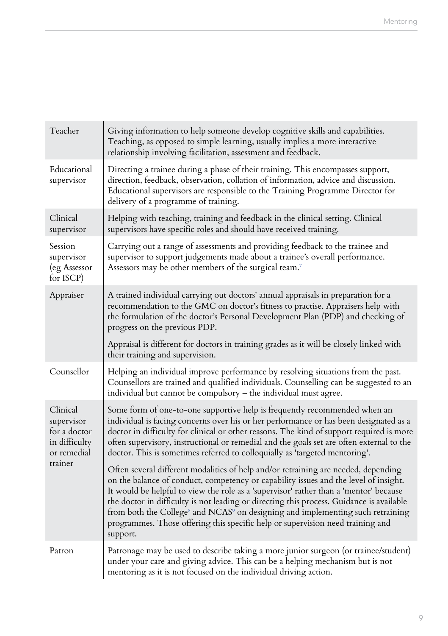| Teacher                                                                | Giving information to help someone develop cognitive skills and capabilities.<br>Teaching, as opposed to simple learning, usually implies a more interactive<br>relationship involving facilitation, assessment and feedback.                                                                                                                                                                                                                                                                                                                                           |
|------------------------------------------------------------------------|-------------------------------------------------------------------------------------------------------------------------------------------------------------------------------------------------------------------------------------------------------------------------------------------------------------------------------------------------------------------------------------------------------------------------------------------------------------------------------------------------------------------------------------------------------------------------|
| Educational<br>supervisor                                              | Directing a trainee during a phase of their training. This encompasses support,<br>direction, feedback, observation, collation of information, advice and discussion.<br>Educational supervisors are responsible to the Training Programme Director for<br>delivery of a programme of training.                                                                                                                                                                                                                                                                         |
| Clinical<br>supervisor                                                 | Helping with teaching, training and feedback in the clinical setting. Clinical<br>supervisors have specific roles and should have received training.                                                                                                                                                                                                                                                                                                                                                                                                                    |
| Session<br>supervisor<br>(eg Assessor<br>for ISCP)                     | Carrying out a range of assessments and providing feedback to the trainee and<br>supervisor to support judgements made about a trainee's overall performance.<br>Assessors may be other members of the surgical team. <sup>7</sup>                                                                                                                                                                                                                                                                                                                                      |
| Appraiser                                                              | A trained individual carrying out doctors' annual appraisals in preparation for a<br>recommendation to the GMC on doctor's fitness to practise. Appraisers help with<br>the formulation of the doctor's Personal Development Plan (PDP) and checking of<br>progress on the previous PDP.                                                                                                                                                                                                                                                                                |
|                                                                        | Appraisal is different for doctors in training grades as it will be closely linked with<br>their training and supervision.                                                                                                                                                                                                                                                                                                                                                                                                                                              |
| Counsellor                                                             | Helping an individual improve performance by resolving situations from the past.<br>Counsellors are trained and qualified individuals. Counselling can be suggested to an<br>individual but cannot be compulsory – the individual must agree.                                                                                                                                                                                                                                                                                                                           |
| Clinical<br>supervisor<br>for a doctor<br>in difficulty<br>or remedial | Some form of one-to-one supportive help is frequently recommended when an<br>individual is facing concerns over his or her performance or has been designated as a<br>doctor in difficulty for clinical or other reasons. The kind of support required is more<br>often supervisory, instructional or remedial and the goals set are often external to the<br>doctor. This is sometimes referred to colloquially as 'targeted mentoring'.                                                                                                                               |
| trainer                                                                | Often several different modalities of help and/or retraining are needed, depending<br>on the balance of conduct, competency or capability issues and the level of insight.<br>It would be helpful to view the role as a 'supervisor' rather than a 'mentor' because<br>the doctor in difficulty is not leading or directing this process. Guidance is available<br>from both the College <sup>s</sup> and NCAS <sup>9</sup> on designing and implementing such retraining<br>programmes. Those offering this specific help or supervision need training and<br>support. |
| Patron                                                                 | Patronage may be used to describe taking a more junior surgeon (or trainee/student)<br>under your care and giving advice. This can be a helping mechanism but is not<br>mentoring as it is not focused on the individual driving action.                                                                                                                                                                                                                                                                                                                                |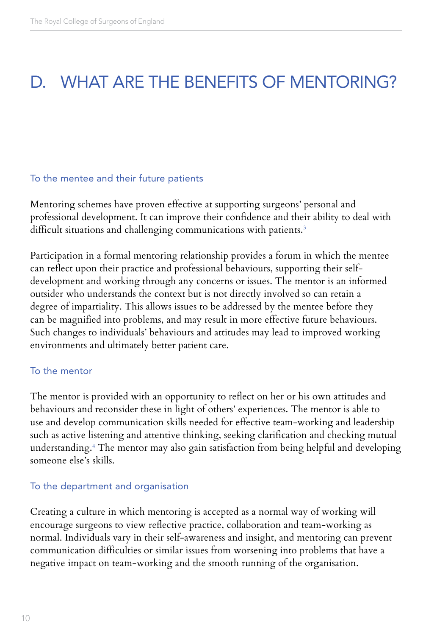### D. WHAT ARE THE BENEFITS OF MENTORING?

#### To the mentee and their future patients

Mentoring schemes have proven effective at supporting surgeons' personal and professional development. It can improve their confidence and their ability to deal with difficult situations and challenging communications with patients.<sup>3</sup>

Participation in a formal mentoring relationship provides a forum in which the mentee can reflect upon their practice and professional behaviours, supporting their selfdevelopment and working through any concerns or issues. The mentor is an informed outsider who understands the context but is not directly involved so can retain a degree of impartiality. This allows issues to be addressed by the mentee before they can be magnified into problems, and may result in more effective future behaviours. Such changes to individuals' behaviours and attitudes may lead to improved working environments and ultimately better patient care.

#### To the mentor

The mentor is provided with an opportunity to reflect on her or his own attitudes and behaviours and reconsider these in light of others' experiences. The mentor is able to use and develop communication skills needed for effective team-working and leadership such as active listening and attentive thinking, seeking clarification and checking mutual understanding.4 The mentor may also gain satisfaction from being helpful and developing someone else's skills.

#### To the department and organisation

Creating a culture in which mentoring is accepted as a normal way of working will encourage surgeons to view reflective practice, collaboration and team-working as normal. Individuals vary in their self-awareness and insight, and mentoring can prevent communication difficulties or similar issues from worsening into problems that have a negative impact on team-working and the smooth running of the organisation.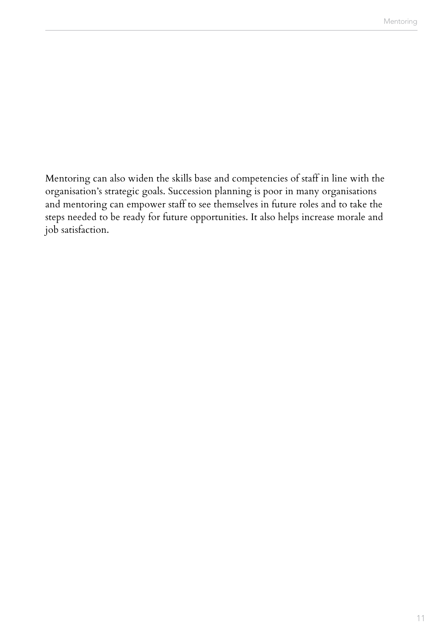Mentoring can also widen the skills base and competencies of staff in line with the organisation's strategic goals. Succession planning is poor in many organisations and mentoring can empower staff to see themselves in future roles and to take the steps needed to be ready for future opportunities. It also helps increase morale and job satisfaction.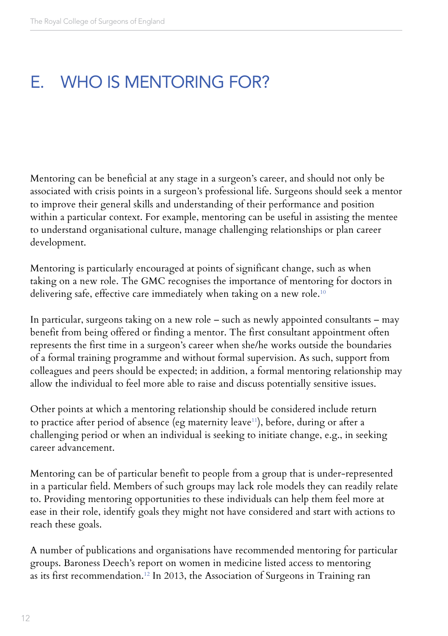### E. WHO IS MENTORING FOR?

Mentoring can be beneficial at any stage in a surgeon's career, and should not only be associated with crisis points in a surgeon's professional life. Surgeons should seek a mentor to improve their general skills and understanding of their performance and position within a particular context. For example, mentoring can be useful in assisting the mentee to understand organisational culture, manage challenging relationships or plan career development.

Mentoring is particularly encouraged at points of significant change, such as when taking on a new role. The GMC recognises the importance of mentoring for doctors in delivering safe, effective care immediately when taking on a new role.<sup>10</sup>

In particular, surgeons taking on a new role – such as newly appointed consultants – may benefit from being offered or finding a mentor. The first consultant appointment often represents the first time in a surgeon's career when she/he works outside the boundaries of a formal training programme and without formal supervision. As such, support from colleagues and peers should be expected; in addition, a formal mentoring relationship may allow the individual to feel more able to raise and discuss potentially sensitive issues.

Other points at which a mentoring relationship should be considered include return to practice after period of absence (eg maternity leave<sup>11</sup>), before, during or after a challenging period or when an individual is seeking to initiate change, e.g., in seeking career advancement.

Mentoring can be of particular benefit to people from a group that is under-represented in a particular field. Members of such groups may lack role models they can readily relate to. Providing mentoring opportunities to these individuals can help them feel more at ease in their role, identify goals they might not have considered and start with actions to reach these goals.

A number of publications and organisations have recommended mentoring for particular groups. Baroness Deech's report on women in medicine listed access to mentoring as its first recommendation.12 In 2013, the Association of Surgeons in Training ran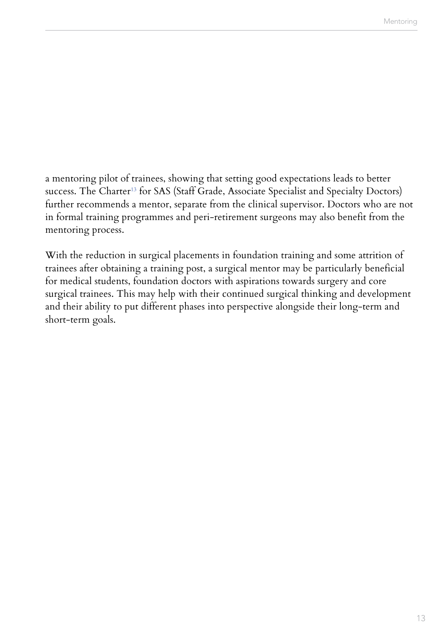a mentoring pilot of trainees, showing that setting good expectations leads to better success. The Charter<sup>13</sup> for SAS (Staff Grade, Associate Specialist and Specialty Doctors) further recommends a mentor, separate from the clinical supervisor. Doctors who are not in formal training programmes and peri-retirement surgeons may also benefit from the mentoring process.

With the reduction in surgical placements in foundation training and some attrition of trainees after obtaining a training post, a surgical mentor may be particularly beneficial for medical students, foundation doctors with aspirations towards surgery and core surgical trainees. This may help with their continued surgical thinking and development and their ability to put different phases into perspective alongside their long-term and short-term goals.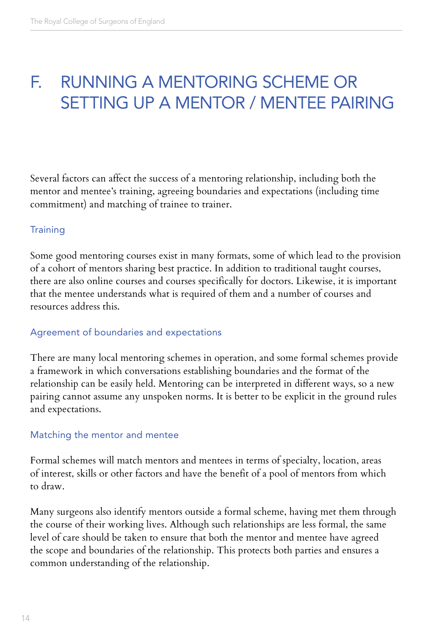### F. RUNNING A MENTORING SCHEME OR SETTING UP A MENTOR / MENTEE PAIRING

Several factors can affect the success of a mentoring relationship, including both the mentor and mentee's training, agreeing boundaries and expectations (including time commitment) and matching of trainee to trainer.

#### **Training**

Some good mentoring courses exist in many formats, some of which lead to the provision of a cohort of mentors sharing best practice. In addition to traditional taught courses, there are also online courses and courses specifically for doctors. Likewise, it is important that the mentee understands what is required of them and a number of courses and resources address this.

#### Agreement of boundaries and expectations

There are many local mentoring schemes in operation, and some formal schemes provide a framework in which conversations establishing boundaries and the format of the relationship can be easily held. Mentoring can be interpreted in different ways, so a new pairing cannot assume any unspoken norms. It is better to be explicit in the ground rules and expectations.

#### Matching the mentor and mentee

Formal schemes will match mentors and mentees in terms of specialty, location, areas of interest, skills or other factors and have the benefit of a pool of mentors from which to draw.

Many surgeons also identify mentors outside a formal scheme, having met them through the course of their working lives. Although such relationships are less formal, the same level of care should be taken to ensure that both the mentor and mentee have agreed the scope and boundaries of the relationship. This protects both parties and ensures a common understanding of the relationship.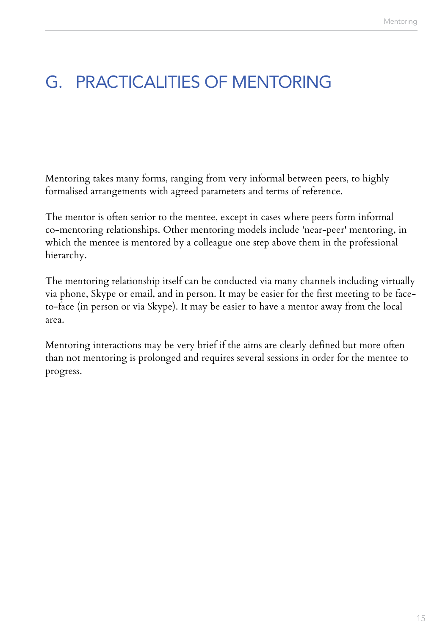### G. PRACTICALITIES OF MENTORING

Mentoring takes many forms, ranging from very informal between peers, to highly formalised arrangements with agreed parameters and terms of reference.

The mentor is often senior to the mentee, except in cases where peers form informal co-mentoring relationships. Other mentoring models include 'near-peer' mentoring, in which the mentee is mentored by a colleague one step above them in the professional hierarchy.

The mentoring relationship itself can be conducted via many channels including virtually via phone, Skype or email, and in person. It may be easier for the first meeting to be faceto-face (in person or via Skype). It may be easier to have a mentor away from the local area.

Mentoring interactions may be very brief if the aims are clearly defined but more often than not mentoring is prolonged and requires several sessions in order for the mentee to progress.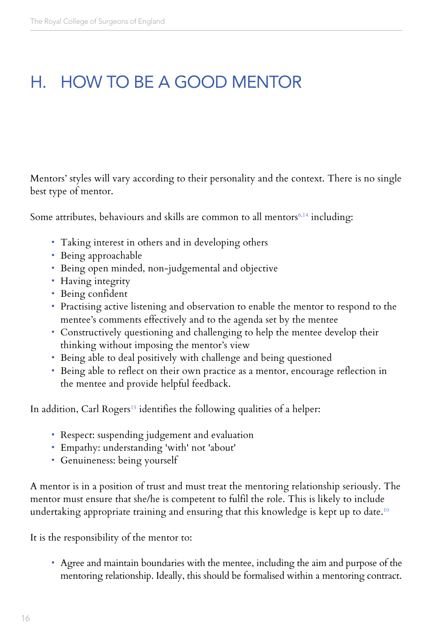### H. HOW TO BE A GOOD MENTOR

Mentors' styles will vary according to their personality and the context. There is no single best type of mentor.

Some attributes, behaviours and skills are common to all mentors<sup>6,14</sup> including:

- Taking interest in others and in developing others
- Being approachable
- Being open minded, non-judgemental and objective
- Having integrity
- Being confident
- Practising active listening and observation to enable the mentor to respond to the mentee's comments effectively and to the agenda set by the mentee
- Constructively questioning and challenging to help the mentee develop their thinking without imposing the mentor's view
- Being able to deal positively with challenge and being questioned
- Being able to reflect on their own practice as a mentor, encourage reflection in the mentee and provide helpful feedback.

In addition, Carl Rogers<sup>15</sup> identifies the following qualities of a helper:

- Respect: suspending judgement and evaluation
- Empathy: understanding 'with' not 'about'
- Genuineness: being yourself

A mentor is in a position of trust and must treat the mentoring relationship seriously. The mentor must ensure that she/he is competent to fulfil the role. This is likely to include undertaking appropriate training and ensuring that this knowledge is kept up to date.<sup>10</sup>

It is the responsibility of the mentor to:

• Agree and maintain boundaries with the mentee, including the aim and purpose of the mentoring relationship. Ideally, this should be formalised within a mentoring contract.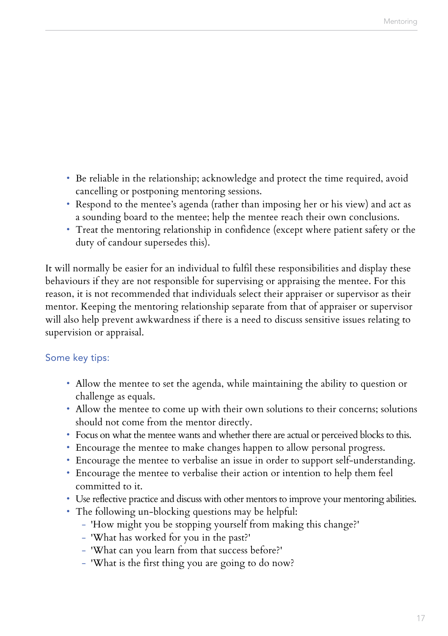- Be reliable in the relationship; acknowledge and protect the time required, avoid cancelling or postponing mentoring sessions.
- Respond to the mentee's agenda (rather than imposing her or his view) and act as a sounding board to the mentee; help the mentee reach their own conclusions.
- Treat the mentoring relationship in confidence (except where patient safety or the duty of candour supersedes this).

It will normally be easier for an individual to fulfil these responsibilities and display these behaviours if they are not responsible for supervising or appraising the mentee. For this reason, it is not recommended that individuals select their appraiser or supervisor as their mentor. Keeping the mentoring relationship separate from that of appraiser or supervisor will also help prevent awkwardness if there is a need to discuss sensitive issues relating to supervision or appraisal.

#### Some key tips:

- Allow the mentee to set the agenda, while maintaining the ability to question or challenge as equals.
- Allow the mentee to come up with their own solutions to their concerns; solutions should not come from the mentor directly.
- Focus on what the mentee wants and whether there are actual or perceived blocks to this.
- Encourage the mentee to make changes happen to allow personal progress.
- Encourage the mentee to verbalise an issue in order to support self-understanding.
- Encourage the mentee to verbalise their action or intention to help them feel committed to it.
- Use reflective practice and discuss with other mentors to improve your mentoring abilities.
- The following un-blocking questions may be helpful:
	- 'How might you be stopping yourself from making this change?'
	- 'What has worked for you in the past?'
	- 'What can you learn from that success before?'
	- 'What is the first thing you are going to do now?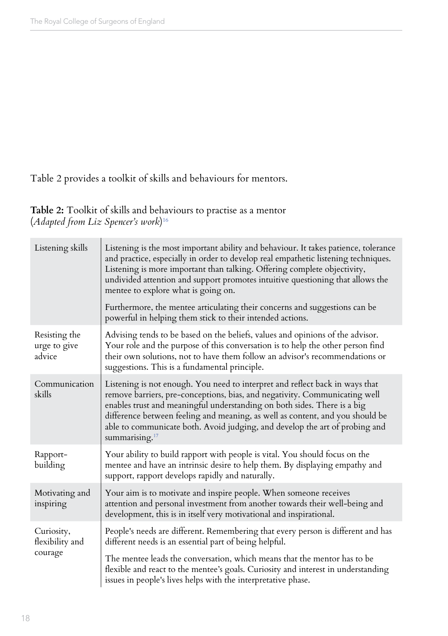Table 2 provides a toolkit of skills and behaviours for mentors.

**Table 2:** Toolkit of skills and behaviours to practise as a mentor (*Adapted from Liz Spencer's work*) 16

| Listening skills                        | Listening is the most important ability and behaviour. It takes patience, tolerance<br>and practice, especially in order to develop real empathetic listening techniques.<br>Listening is more important than talking. Offering complete objectivity,<br>undivided attention and support promotes intuitive questioning that allows the<br>mentee to explore what is going on.                                                       |
|-----------------------------------------|--------------------------------------------------------------------------------------------------------------------------------------------------------------------------------------------------------------------------------------------------------------------------------------------------------------------------------------------------------------------------------------------------------------------------------------|
|                                         | Furthermore, the mentee articulating their concerns and suggestions can be<br>powerful in helping them stick to their intended actions.                                                                                                                                                                                                                                                                                              |
| Resisting the<br>urge to give<br>advice | Advising tends to be based on the beliefs, values and opinions of the advisor.<br>Your role and the purpose of this conversation is to help the other person find<br>their own solutions, not to have them follow an advisor's recommendations or<br>suggestions. This is a fundamental principle.                                                                                                                                   |
| Communication<br>skills                 | Listening is not enough. You need to interpret and reflect back in ways that<br>remove barriers, pre-conceptions, bias, and negativity. Communicating well<br>enables trust and meaningful understanding on both sides. There is a big<br>difference between feeling and meaning, as well as content, and you should be<br>able to communicate both. Avoid judging, and develop the art of probing and<br>summarising. <sup>17</sup> |
| Rapport-<br>building                    | Your ability to build rapport with people is vital. You should focus on the<br>mentee and have an intrinsic desire to help them. By displaying empathy and<br>support, rapport develops rapidly and naturally.                                                                                                                                                                                                                       |
| Motivating and<br>inspiring             | Your aim is to motivate and inspire people. When someone receives<br>attention and personal investment from another towards their well-being and<br>development, this is in itself very motivational and inspirational.                                                                                                                                                                                                              |
| Curiosity,<br>flexibility and           | People's needs are different. Remembering that every person is different and has<br>different needs is an essential part of being helpful.                                                                                                                                                                                                                                                                                           |
| courage                                 | The mentee leads the conversation, which means that the mentor has to be<br>flexible and react to the mentee's goals. Curiosity and interest in understanding<br>issues in people's lives helps with the interpretative phase.                                                                                                                                                                                                       |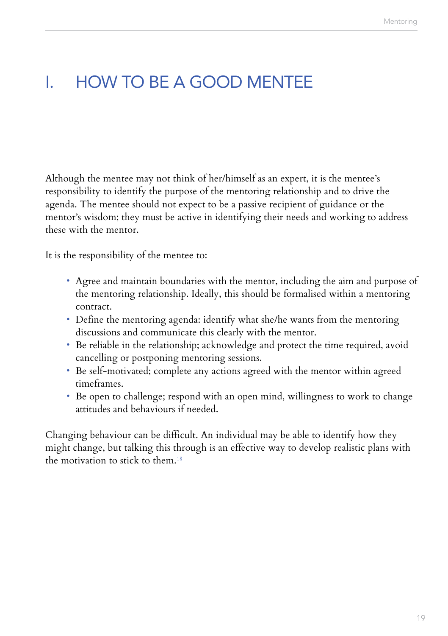### I. HOW TO BE A GOOD MENTEE

Although the mentee may not think of her/himself as an expert, it is the mentee's responsibility to identify the purpose of the mentoring relationship and to drive the agenda. The mentee should not expect to be a passive recipient of guidance or the mentor's wisdom; they must be active in identifying their needs and working to address these with the mentor.

It is the responsibility of the mentee to:

- Agree and maintain boundaries with the mentor, including the aim and purpose of the mentoring relationship. Ideally, this should be formalised within a mentoring contract.
- Define the mentoring agenda: identify what she/he wants from the mentoring discussions and communicate this clearly with the mentor.
- Be reliable in the relationship; acknowledge and protect the time required, avoid cancelling or postponing mentoring sessions.
- Be self-motivated; complete any actions agreed with the mentor within agreed timeframes.
- Be open to challenge; respond with an open mind, willingness to work to change attitudes and behaviours if needed.

Changing behaviour can be difficult. An individual may be able to identify how they might change, but talking this through is an effective way to develop realistic plans with the motivation to stick to them.<sup>18</sup>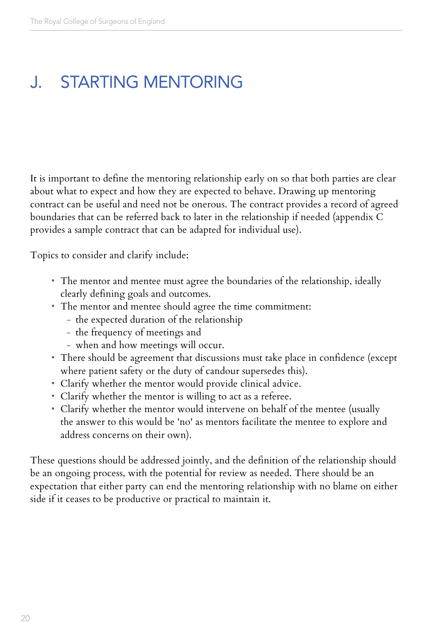### J. STARTING MENTORING

It is important to define the mentoring relationship early on so that both parties are clear about what to expect and how they are expected to behave. Drawing up mentoring contract can be useful and need not be onerous. The contract provides a record of agreed boundaries that can be referred back to later in the relationship if needed (appendix C provides a sample contract that can be adapted for individual use).

Topics to consider and clarify include:

- The mentor and mentee must agree the boundaries of the relationship, ideally clearly defining goals and outcomes.
- The mentor and mentee should agree the time commitment:
	- the expected duration of the relationship
	- the frequency of meetings and
	- when and how meetings will occur.
- There should be agreement that discussions must take place in confidence (except where patient safety or the duty of candour supersedes this).
- Clarify whether the mentor would provide clinical advice.
- Clarify whether the mentor is willing to act as a referee.
- Clarify whether the mentor would intervene on behalf of the mentee (usually the answer to this would be 'no' as mentors facilitate the mentee to explore and address concerns on their own).

These questions should be addressed jointly, and the definition of the relationship should be an ongoing process, with the potential for review as needed. There should be an expectation that either party can end the mentoring relationship with no blame on either side if it ceases to be productive or practical to maintain it.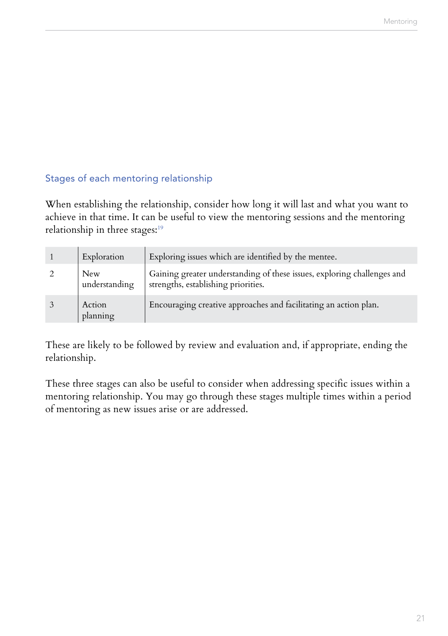### Stages of each mentoring relationship

When establishing the relationship, consider how long it will last and what you want to achieve in that time. It can be useful to view the mentoring sessions and the mentoring relationship in three stages:<sup>19</sup>

| Exploration          | Exploring issues which are identified by the mentee.                                                           |
|----------------------|----------------------------------------------------------------------------------------------------------------|
| New<br>understanding | Gaining greater understanding of these issues, exploring challenges and<br>strengths, establishing priorities. |
| Action<br>planning   | Encouraging creative approaches and facilitating an action plan.                                               |

These are likely to be followed by review and evaluation and, if appropriate, ending the relationship.

These three stages can also be useful to consider when addressing specific issues within a mentoring relationship. You may go through these stages multiple times within a period of mentoring as new issues arise or are addressed.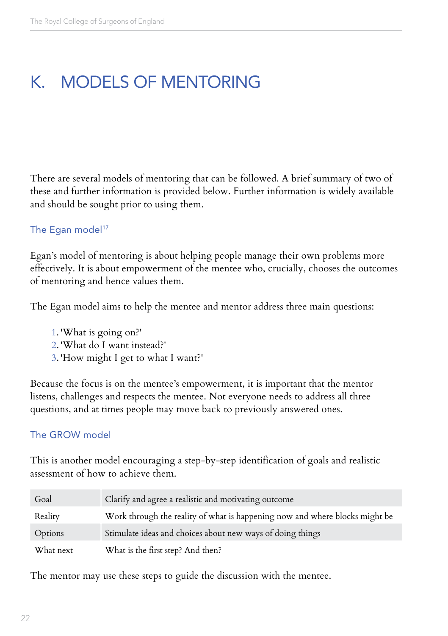### K. MODELS OF MENTORING

There are several models of mentoring that can be followed. A brief summary of two of these and further information is provided below. Further information is widely available and should be sought prior to using them.

#### The Egan model<sup>17</sup>

Egan's model of mentoring is about helping people manage their own problems more effectively. It is about empowerment of the mentee who, crucially, chooses the outcomes of mentoring and hence values them.

The Egan model aims to help the mentee and mentor address three main questions:

- 1. 'What is going on?'
- 2. 'What do I want instead?'
- 3. 'How might I get to what I want?'

Because the focus is on the mentee's empowerment, it is important that the mentor listens, challenges and respects the mentee. Not everyone needs to address all three questions, and at times people may move back to previously answered ones.

#### The GROW model

This is another model encouraging a step-by-step identification of goals and realistic assessment of how to achieve them.

| Goal      | Clarify and agree a realistic and motivating outcome                        |
|-----------|-----------------------------------------------------------------------------|
| Reality   | Work through the reality of what is happening now and where blocks might be |
| Options   | Stimulate ideas and choices about new ways of doing things                  |
| What next | What is the first step? And then?                                           |

The mentor may use these steps to guide the discussion with the mentee.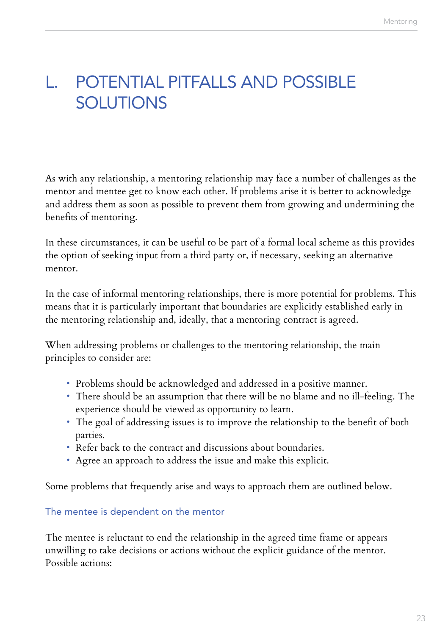### L. POTENTIAL PITFALLS AND POSSIBLE **SOLUTIONS**

As with any relationship, a mentoring relationship may face a number of challenges as the mentor and mentee get to know each other. If problems arise it is better to acknowledge and address them as soon as possible to prevent them from growing and undermining the benefits of mentoring.

In these circumstances, it can be useful to be part of a formal local scheme as this provides the option of seeking input from a third party or, if necessary, seeking an alternative mentor.

In the case of informal mentoring relationships, there is more potential for problems. This means that it is particularly important that boundaries are explicitly established early in the mentoring relationship and, ideally, that a mentoring contract is agreed.

When addressing problems or challenges to the mentoring relationship, the main principles to consider are:

- Problems should be acknowledged and addressed in a positive manner.
- There should be an assumption that there will be no blame and no ill-feeling. The experience should be viewed as opportunity to learn.
- The goal of addressing issues is to improve the relationship to the benefit of both parties.
- Refer back to the contract and discussions about boundaries.
- Agree an approach to address the issue and make this explicit.

Some problems that frequently arise and ways to approach them are outlined below.

#### The mentee is dependent on the mentor

The mentee is reluctant to end the relationship in the agreed time frame or appears unwilling to take decisions or actions without the explicit guidance of the mentor. Possible actions: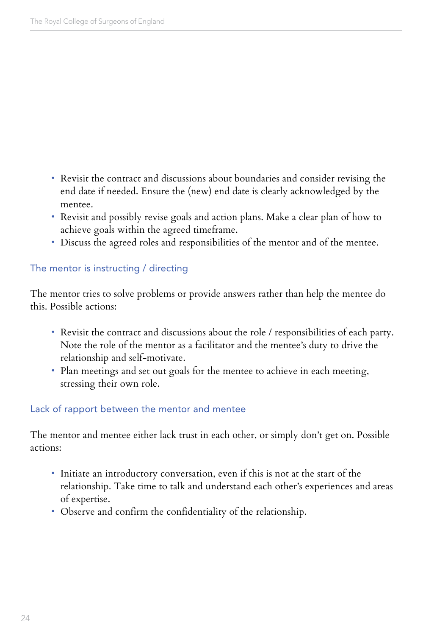- Revisit the contract and discussions about boundaries and consider revising the end date if needed. Ensure the (new) end date is clearly acknowledged by the mentee.
- Revisit and possibly revise goals and action plans. Make a clear plan of how to achieve goals within the agreed timeframe.
- Discuss the agreed roles and responsibilities of the mentor and of the mentee.

#### The mentor is instructing / directing

The mentor tries to solve problems or provide answers rather than help the mentee do this. Possible actions:

- Revisit the contract and discussions about the role / responsibilities of each party. Note the role of the mentor as a facilitator and the mentee's duty to drive the relationship and self-motivate.
- Plan meetings and set out goals for the mentee to achieve in each meeting, stressing their own role.

#### Lack of rapport between the mentor and mentee

The mentor and mentee either lack trust in each other, or simply don't get on. Possible actions:

- Initiate an introductory conversation, even if this is not at the start of the relationship. Take time to talk and understand each other's experiences and areas of expertise.
- Observe and confirm the confidentiality of the relationship.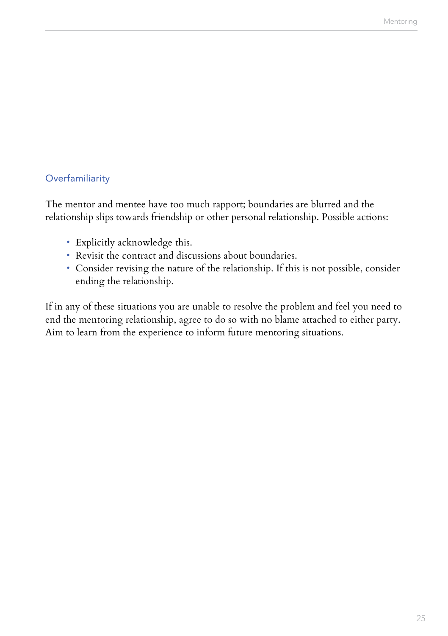#### **Overfamiliarity**

The mentor and mentee have too much rapport; boundaries are blurred and the relationship slips towards friendship or other personal relationship. Possible actions:

- Explicitly acknowledge this.
- Revisit the contract and discussions about boundaries.
- Consider revising the nature of the relationship. If this is not possible, consider ending the relationship.

If in any of these situations you are unable to resolve the problem and feel you need to end the mentoring relationship, agree to do so with no blame attached to either party. Aim to learn from the experience to inform future mentoring situations.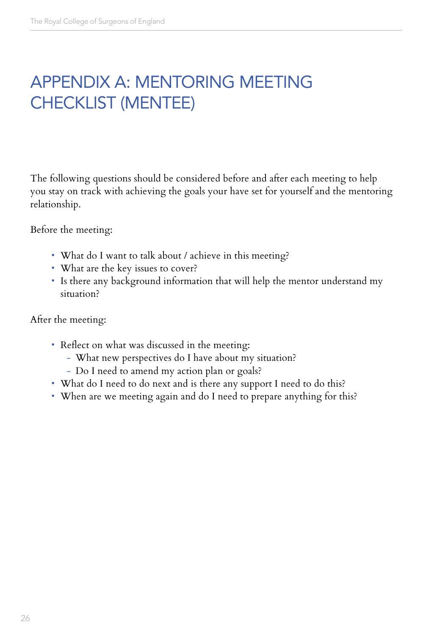### APPENDIX A: MENTORING MEETING CHECKLIST (MENTEE)

The following questions should be considered before and after each meeting to help you stay on track with achieving the goals your have set for yourself and the mentoring relationship.

Before the meeting:

- What do I want to talk about / achieve in this meeting?
- What are the key issues to cover?
- Is there any background information that will help the mentor understand my situation?

After the meeting:

- Reflect on what was discussed in the meeting:
	- What new perspectives do I have about my situation?
	- Do I need to amend my action plan or goals?
- What do I need to do next and is there any support I need to do this?
- When are we meeting again and do I need to prepare anything for this?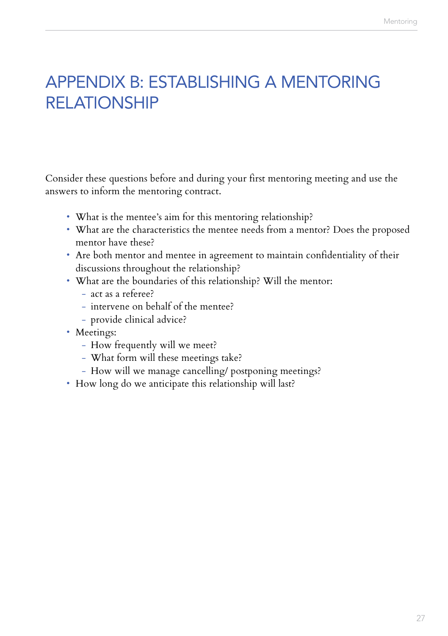### APPENDIX B: ESTABLISHING A MENTORING RELATIONSHIP

Consider these questions before and during your first mentoring meeting and use the answers to inform the mentoring contract.

- What is the mentee's aim for this mentoring relationship?
- What are the characteristics the mentee needs from a mentor? Does the proposed mentor have these?
- Are both mentor and mentee in agreement to maintain confidentiality of their discussions throughout the relationship?
- What are the boundaries of this relationship? Will the mentor:
	- act as a referee?
	- intervene on behalf of the mentee?
	- provide clinical advice?
- Meetings:
	- How frequently will we meet?
	- What form will these meetings take?
	- How will we manage cancelling/ postponing meetings?
- How long do we anticipate this relationship will last?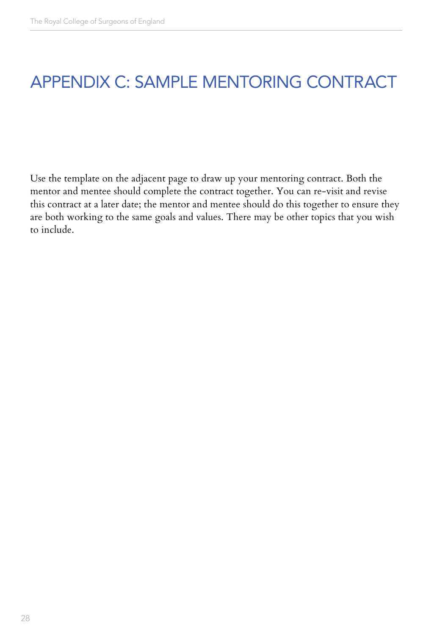### APPENDIX C: SAMPLE MENTORING CONTRACT

Use the template on the adjacent page to draw up your mentoring contract. Both the mentor and mentee should complete the contract together. You can re-visit and revise this contract at a later date; the mentor and mentee should do this together to ensure they are both working to the same goals and values. There may be other topics that you wish to include.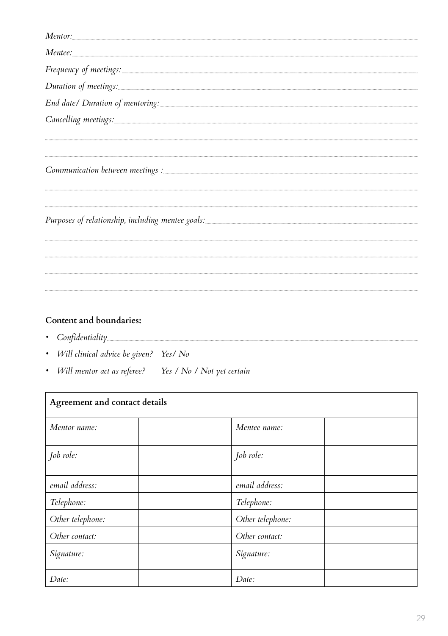| Mentee:                                                                                                                                                                                                                        |
|--------------------------------------------------------------------------------------------------------------------------------------------------------------------------------------------------------------------------------|
| Frequency of meetings:                                                                                                                                                                                                         |
| Duration of meetings: contained a series of the contact of meetings:                                                                                                                                                           |
|                                                                                                                                                                                                                                |
| Cancelling meetings: and the contract of the contract of the contract of the contract of the contract of the contract of the contract of the contract of the contract of the contract of the contract of the contract of the c |
|                                                                                                                                                                                                                                |
|                                                                                                                                                                                                                                |
|                                                                                                                                                                                                                                |
|                                                                                                                                                                                                                                |

#### **Content and boundaries:**

- *Confidentiality*
- *Will clinical advice be given? Yes/ No*
- *Will mentor act as referee? Yes / No / Not yet certain*

| Agreement and contact details |                  |  |  |
|-------------------------------|------------------|--|--|
| Mentor name:                  | Mentee name:     |  |  |
| Job role:                     | Job role:        |  |  |
| email address:                | email address:   |  |  |
| Telephone:                    | Telephone:       |  |  |
| Other telephone:              | Other telephone: |  |  |
| Other contact:                | Other contact:   |  |  |
| Signature:                    | Signature:       |  |  |
| Date:                         | Date:            |  |  |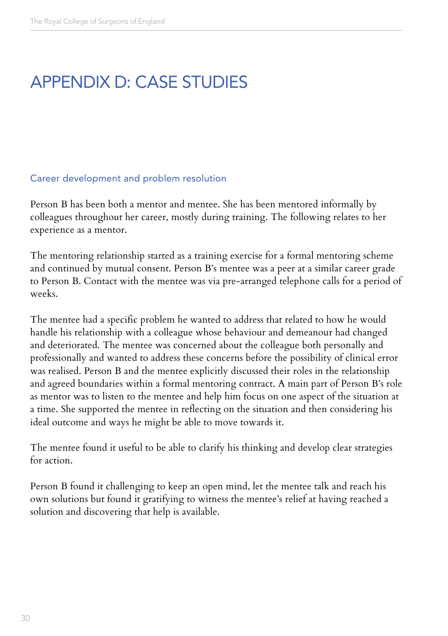### APPENDIX D: CASE STUDIES

#### Career development and problem resolution

Person B has been both a mentor and mentee. She has been mentored informally by colleagues throughout her career, mostly during training. The following relates to her experience as a mentor.

The mentoring relationship started as a training exercise for a formal mentoring scheme and continued by mutual consent. Person B's mentee was a peer at a similar career grade to Person B. Contact with the mentee was via pre-arranged telephone calls for a period of weeks.

The mentee had a specific problem he wanted to address that related to how he would handle his relationship with a colleague whose behaviour and demeanour had changed and deteriorated. The mentee was concerned about the colleague both personally and professionally and wanted to address these concerns before the possibility of clinical error was realised. Person B and the mentee explicitly discussed their roles in the relationship and agreed boundaries within a formal mentoring contract. A main part of Person B's role as mentor was to listen to the mentee and help him focus on one aspect of the situation at a time. She supported the mentee in reflecting on the situation and then considering his ideal outcome and ways he might be able to move towards it.

The mentee found it useful to be able to clarify his thinking and develop clear strategies for action.

Person B found it challenging to keep an open mind, let the mentee talk and reach his own solutions but found it gratifying to witness the mentee's relief at having reached a solution and discovering that help is available.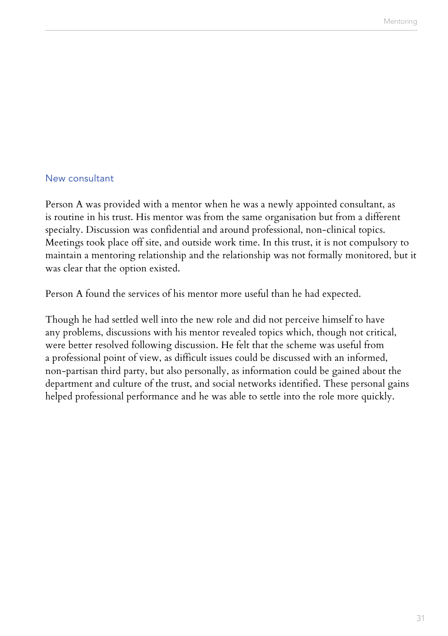#### New consultant

Person A was provided with a mentor when he was a newly appointed consultant, as is routine in his trust. His mentor was from the same organisation but from a different specialty. Discussion was confidential and around professional, non-clinical topics. Meetings took place off site, and outside work time. In this trust, it is not compulsory to maintain a mentoring relationship and the relationship was not formally monitored, but it was clear that the option existed.

Person A found the services of his mentor more useful than he had expected.

Though he had settled well into the new role and did not perceive himself to have any problems, discussions with his mentor revealed topics which, though not critical, were better resolved following discussion. He felt that the scheme was useful from a professional point of view, as difficult issues could be discussed with an informed, non-partisan third party, but also personally, as information could be gained about the department and culture of the trust, and social networks identified. These personal gains helped professional performance and he was able to settle into the role more quickly.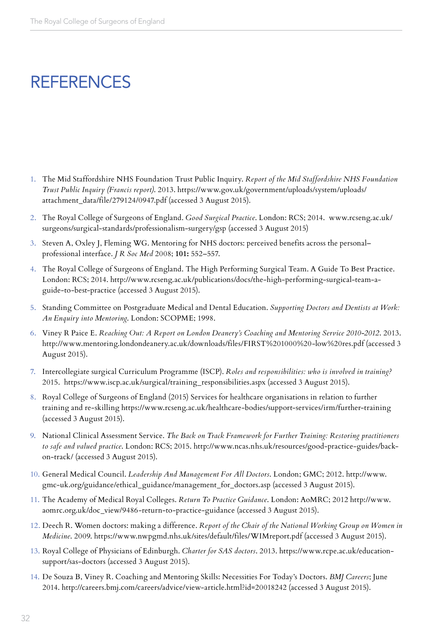### **REFERENCES**

- 1. The Mid Staffordshire NHS Foundation Trust Public Inquiry. *Report of the Mid Staffordshire NHS Foundation Trust Public Inquiry (Francis report)*. 2013. https://www.gov.uk/government/uploads/system/uploads/ attachment\_data/file/279124/0947.pdf (accessed 3 August 2015).
- 2. The Royal College of Surgeons of England. *Good Surgical Practice*. London: RCS; 2014. www.rcseng.ac.uk/ surgeons/surgical-standards/professionalism-surgery/gsp (accessed 3 August 2015)
- 3. Steven A, Oxley J, Fleming WG. Mentoring for NHS doctors: perceived benefits across the personal– professional interface. *J R Soc Med* 2008; **101:** 552–557.
- 4. The Royal College of Surgeons of England. The High Performing Surgical Team. A Guide To Best Practice. London: RCS; 2014. http://www.rcseng.ac.uk/publications/docs/the-high-performing-surgical-team-aguide-to-best-practice (accessed 3 August 2015).
- 5. Standing Committee on Postgraduate Medical and Dental Education. *Supporting Doctors and Dentists at Work: An Enquiry into Mentoring*. London: SCOPME; 1998.
- 6. Viney R Paice E. *Reaching Out: A Report on London Deanery's Coaching and Mentoring Service 2010-2012*. 2013. http://www.mentoring.londondeanery.ac.uk/downloads/files/FIRST%201000%20-low%20res.pdf (accessed 3 August 2015).
- 7. Intercollegiate surgical Curriculum Programme (ISCP). *Roles and responsibilities: who is involved in training?*  2015. https://www.iscp.ac.uk/surgical/training\_responsibilities.aspx (accessed 3 August 2015).
- 8. Royal College of Surgeons of England (2015) Services for healthcare organisations in relation to further training and re-skilling https://www.rcseng.ac.uk/healthcare-bodies/support-services/irm/further-training (accessed 3 August 2015).
- 9. National Clinical Assessment Service. *The Back on Track Framework for Further Training: Restoring practitioners to safe and valued practice*. London: RCS; 2015. http://www.ncas.nhs.uk/resources/good-practice-guides/backon-track/ (accessed 3 August 2015).
- 10. General Medical Council. *Leadership And Management For All Doctors*. London; GMC; 2012. http://www. gmc-uk.org/guidance/ethical\_guidance/management\_for\_doctors.asp (accessed 3 August 2015).
- 11. The Academy of Medical Royal Colleges. *Return To Practice Guidance*. London: AoMRC; 2012 http://www. aomrc.org.uk/doc\_view/9486-return-to-practice-guidance (accessed 3 August 2015).
- 12. Deech R. Women doctors: making a difference. *Report of the Chair of the National Working Group on Women in Medicine*. 2009. https://www.nwpgmd.nhs.uk/sites/default/files/WIMreport.pdf (accessed 3 August 2015).
- 13. Royal College of Physicians of Edinburgh. *Charter for SAS doctors*. 2013. https://www.rcpe.ac.uk/educationsupport/sas-doctors (accessed 3 August 2015).
- 14. De Souza B, Viney R. Coaching and Mentoring Skills: Necessities For Today's Doctors. *BMJ Careers*; June 2014. http://careers.bmj.com/careers/advice/view-article.html?id=20018242 (accessed 3 August 2015).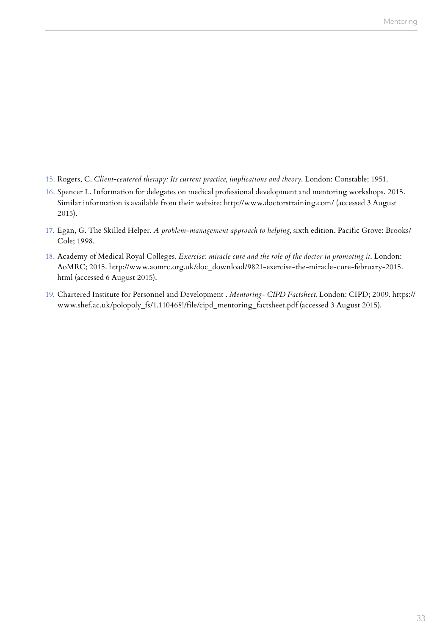- 15. Rogers, C. *Client-centered therapy: Its current practice, implications and theory*. London: Constable; 1951.
- 16. Spencer L. Information for delegates on medical professional development and mentoring workshops. 2015. Similar information is available from their website: http://www.doctorstraining.com/ (accessed 3 August 2015).
- 17. Egan, G. The Skilled Helper. *A problem-management approach to helping*, sixth edition. Pacific Grove: Brooks/ Cole; 1998.
- 18. Academy of Medical Royal Colleges. *Exercise: miracle cure and the role of the doctor in promoting it*. London: AoMRC; 2015. http://www.aomrc.org.uk/doc\_download/9821-exercise-the-miracle-cure-february-2015. html (accessed 6 August 2015).
- 19. Chartered Institute for Personnel and Development . *Mentoring- CIPD Factsheet.* London: CIPD; 2009. https:// www.shef.ac.uk/polopoly\_fs/1.110468!/file/cipd\_mentoring\_factsheet.pdf (accessed 3 August 2015).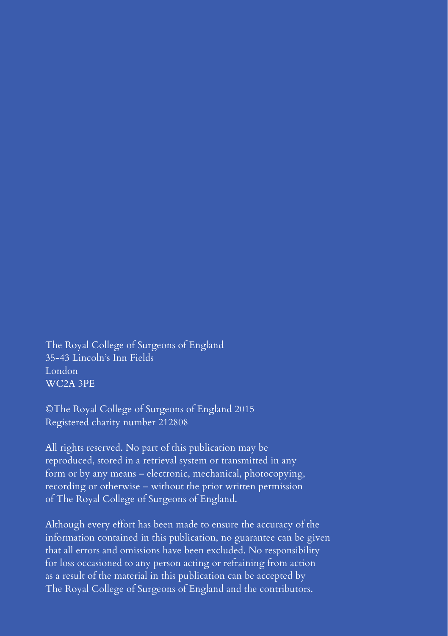The Royal College of Surgeons of England 35-43 Lincoln's Inn Fields London WC2A 3PE

©The Royal College of Surgeons of England 2015 Registered charity number 212808

All rights reserved. No part of this publication may be reproduced, stored in a retrieval system or transmitted in any form or by any means – electronic, mechanical, photocopying, recording or otherwise – without the prior written permission of The Royal College of Surgeons of England.

Although every effort has been made to ensure the accuracy of the information contained in this publication, no guarantee can be given that all errors and omissions have been excluded. No responsibility for loss occasioned to any person acting or refraining from action as a result of the material in this publication can be accepted by The Royal College of Surgeons of England and the contributors.